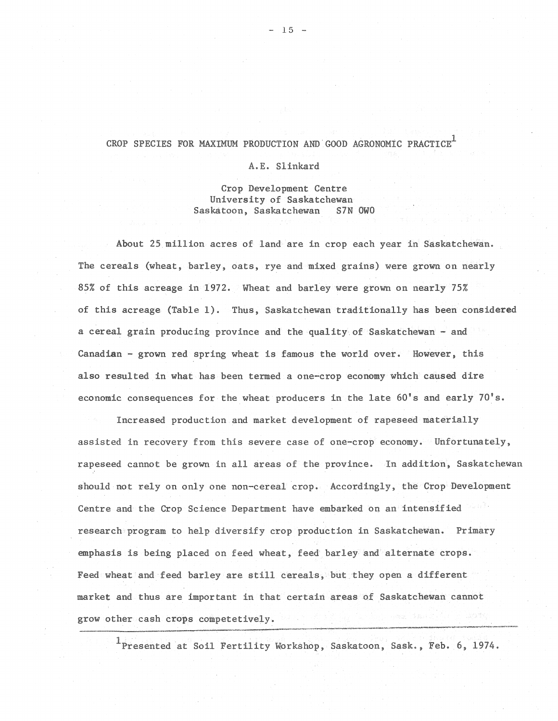### CROP SPECIES FOR MAXIMUM PRODUCTION AND GOOD AGRONOMIC PRACTICE<sup>1</sup>

#### A.E. Slinkard

Crop Development Centre University of Saskatchewan Saskatoon, Saskatchewan S7N OWO

About 25 million acres of land are in crop each year in Saskatchewan. The cereals (wheat, barley, oats, rye and mixed grains) were grown on nearly 85% of this acreage in 1972. Wheat and barley were grown on nearly 75% of this acreage (Table 1). Thus, Saskatchewan traditionally has been considered a cereal grain producing province and the quality of Saskatchewan - and Canadian - grown red spring wheat is famous the world over. However, this also resulted in what has been termed a one-crop economy which caused dire economic consequences for the wheat producers in the late 60's and early 70's.

Increased production and market development of rapeseed materially assisted in recovery from this severe case of one-crop economy. Unfortunately, rapeseed cannot be grown in all areas of the province. In addition', Saskatchewan should not rely on only one non-cereal crop. Accordingly, the Crop Development Centre and the Crop Science Department have embarked on an intensified research program to help diversify crop production in Saskatchewan. Primary emphasis is being placed on feed wheat, feed barley and alternate crops. Feed wheat and feed barley are still cereals, but they open a different market and thus are important in that certain areas of Saskatchewan cannot grow other cash crops competetively.

 $1$ Presented at Soil Fertility Workshop, Saskatoon, Sask., Feb. 6, 1974.

------------------~----~--------~-------~~----·-------·----~--·------··---~----------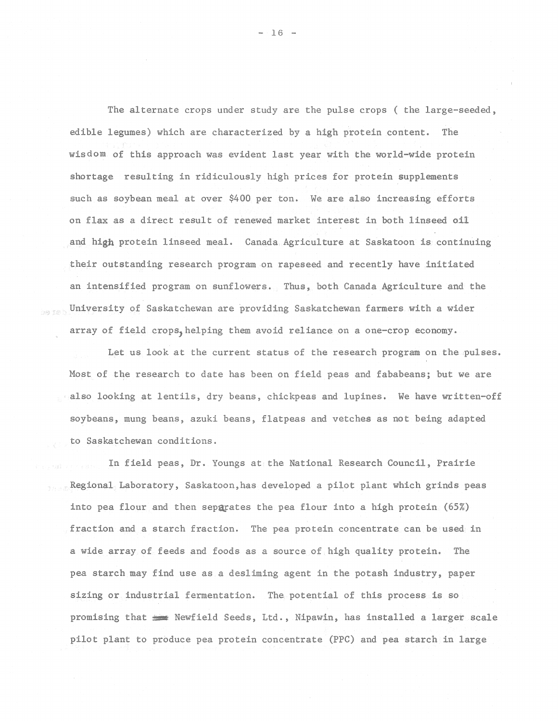The alternate crops under study are the pulse crops ( the large-seeded, edible legumes) which are characterized by a high protein content. The wisdom of this approach was evident last year with the world-wide protein shortage resulting in ridiculously high prices for protein supplements such as soybean meal at over \$400 per ton. We are also increasing efforts on flax as a direct result of renewed market interest in both linseed oil and high protein linseed meal. Canada Agriculture at Saskatoon is continuing their outstanding research program on rapeseed and recently have initiated an intensified program on sunflowers. Thus, both Canada Agriculture and the University of Saskatchewan are providing Saskatchewan farmers with a wider array of field crops, helping them avoid reliance on a one-crop economy.

Let us look at the current status of the research program on the pulses. Most of the research to date has been on field peas and fababeans; but we are . also looking at lentils, dry beans, chickpeas and lupines. We have written-off soybeans, mung beans, azuki beans, flatpeas and vetches as not being adapted to Saskatchewan conditions.

In field peas, Dr. Youngs at the National Research Council, Prairie Regional Laboratory, Saskatoon,has developed a pilot plant which grinds peas into pea flour and then separates the pea flour into a high protein (65%) fraction and a starch fraction. The pea protein concentrate can be used in a wide array of feeds and foods as a source of.high quality protein. The pea starch may find use as a desliming agent in the potash industry, paper sizing or industrial fermentation. The potential of this process is so promising that  $~\equiv~$  Newfield Seeds, Ltd., Nipawin, has installed a larget scale pilot plant to produce pea protein concentrate (PPC) and pea starch in large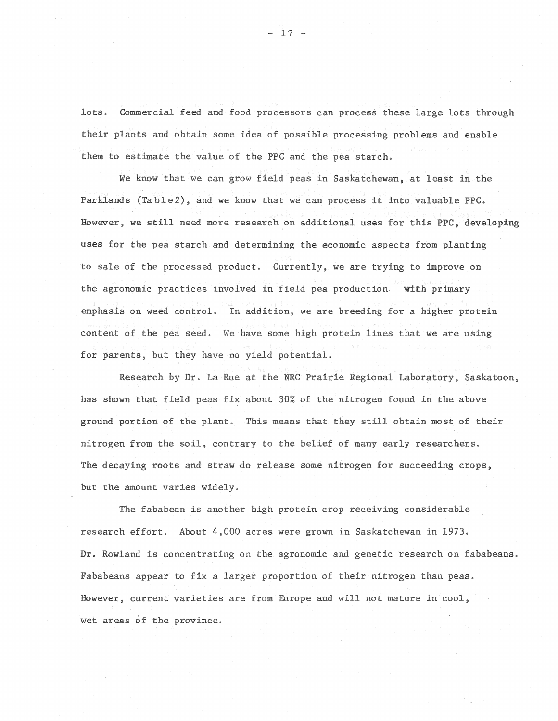lots. Commercial feed and food processors can process these large lots through their plants and obtain some idea of possible processing problems and enable them to estimate the value of the PPC and the pea starch.

We know that we can grow field peas in Saskatchewan, at least in the Parklands (Table2), and we know that we can process it into valuable PPC. However, we still need more research on additional uses for this PPC, developing uses for the pea starch and determining the economic aspects from planting to sale of the processed product. Currently, we are trying to improve on the agronomic practices involved in field pea production. With primary emphasis on weed control. In addition, we are breeding for a higher protein content of the pea seed. We have some high protein lines that we are using for parents, but they have no yield potential.

Research by Dr. La Rue at the NRC Prairie Regional Laboratory, Saskatoon, has shown that field peas fix about 30% of the nitrogen found in the above ground portion of the plant. This means that they still obtain most of their nitrogen from the soil, contrary to the belief of many early researchers. The decaying roots and straw do release some nitrogen for succeeding crops, but the amount varies widely.

The fababean is another high protein crop receiving considerable research effort. About 4,000 acres were grown in Saskatchewan in 1973. Dr. Rowland is concentrating on the agronomic and genetic research on fababeans. Fababeans appear to fix a larger proportion of their nitrogen than peas. However, current varieties are from Europe and will not mature in cool, wet areas of the province.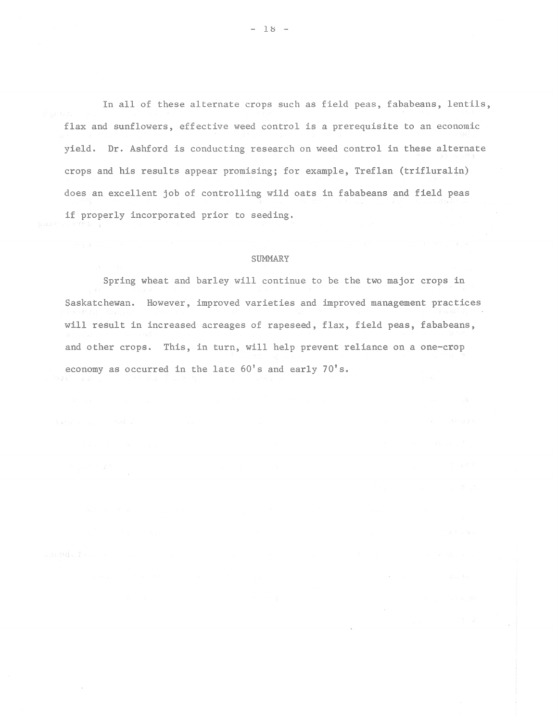In all of these alternate crops such as field peas, fababeans, lentils, flax and sunflowers, effective weed control is a prerequisite to an economic yield. Dr. Ashford is conducting research on weed control in these alternate crops and his results appear promising; for example, Treflan (trifluralin) does an excellent job of controlling wild oats in fababeans and field peas if properly incorporated prior to seeding.

#### SUMMARY

Spring wheat and barley will continue to be the two major crops in Saskatchewan. However, improved varieties and improved management practices will result in increased acreages of rapeseed, flax, field peas, fababeans, and other crops. This, in turn, will help prevent reliance on a one-crop economy as occurred in the late 60's and early 70's.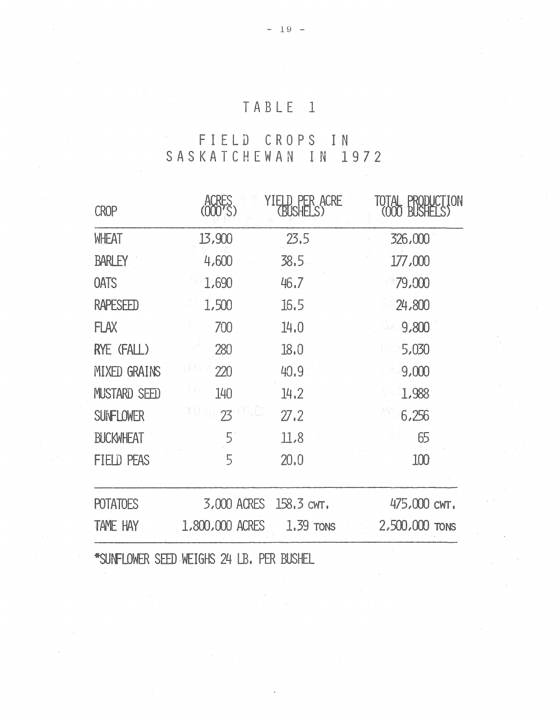## TABLE 1

### FIELD CROPS IN  $\sigma_{\rm{max}}$  and  $\sigma_{\rm{max}}$ SASKATCHEWAN IN 1972

| <b>CROP</b>         |                              | YIELD PER ACRE<br><b>BUSHEI</b> | CTION<br>IOTAL<br><b>BUSH</b><br>(000) |
|---------------------|------------------------------|---------------------------------|----------------------------------------|
| <b>WHEAT</b>        | 13,900                       | 23,5                            | 326,000                                |
| <b>BARLEY</b>       | 4,600                        | 38.5                            | 177,000                                |
| <b>OATS</b>         | 1,690                        | 46.7                            | 79,000                                 |
| <b>RAPESEED</b>     | 1,500                        | 16.5                            | 24,800                                 |
| <b>FLAX</b>         | 700                          | 14.0                            | 9,800                                  |
| RYE (FALL)          | 280                          | 18.0                            | 5,030                                  |
| <b>MIXED GRAINS</b> | 220                          | 40.9                            | 9,000                                  |
| MUSTARD SEED        | 140                          | 14.2                            | 1,988                                  |
| <b>SUNFLOWER</b>    | 23                           | 27.2                            | 6,256                                  |
| <b>BUCKWHEAT</b>    | 5                            | 11,8                            | 65                                     |
| FIELD PEAS          | $5\overline{)}$              | 20.0                            | 100                                    |
| <b>POTATOES</b>     | 3,000 ACRES                  | 158.3 CWT.                      | 475,000 CWT.                           |
| <b>TAME HAY</b>     | 1,800,000 ACRES              | 1.39 TONS                       | 2,500,000 TONS                         |
|                     | *SINFIONER SEED METGHS 24 IR | <b>PFR RISHEL</b>               |                                        |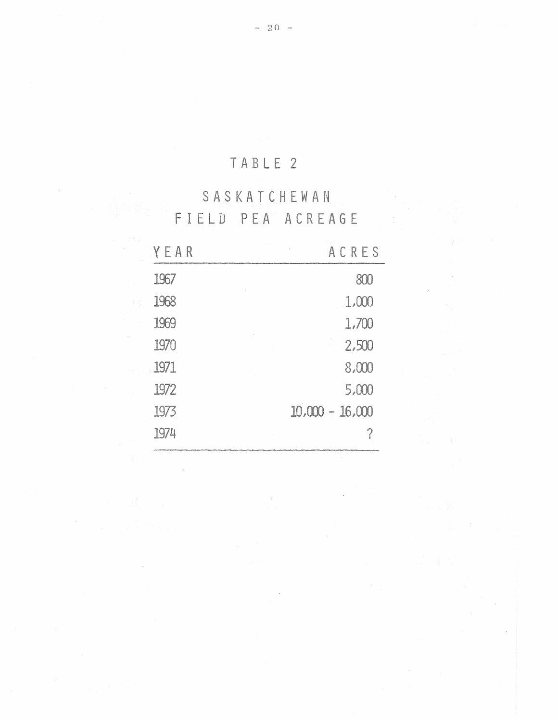## TABLE 2

# SASKATCHEWAN FIELD PEA ACREAGE

 $\mathcal{L}^{\text{max}}$  $\sim$   $\sim$ 

| YEAR | ACRES             |
|------|-------------------|
| 1967 | 800               |
| 1968 | 1,000             |
| 1969 | 1,700             |
| 1970 | 2,500             |
| 1971 | 8,000             |
| 1972 | 5,000             |
| 1973 | $10,000 - 16,000$ |
| 1974 | ?                 |

 $\bar{z}$ 

 $\hat{\vec{r}}$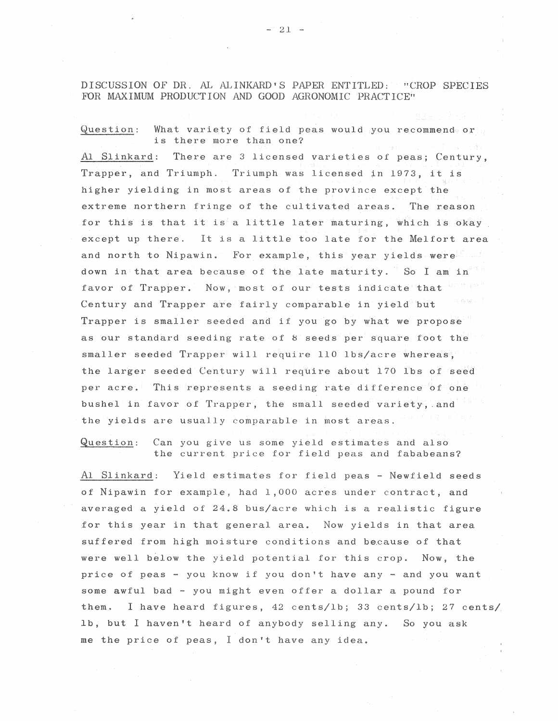DISCUSSION OF DR. AL ALINKARD S PAPER ENTITLED: "CROP SPECIES FOR MAXIMUM PRODUCTION AND GOOD AGRONOMIC 'PRACTICE''

 $Question:$  What variety of field peas would you recommend or is there more than one? Al Slinkard: There are 3 licensed varieties of peas; Century, Trapper, and Triumph. Triumph was licensed in 1973, it is higher yielding in most areas of the province except the extreme northern fringe of the cultivated areas. The reason for this is that it is a little later maturing, which is okay except up there. It is a little too late for the Melfort area and north to Nipawin. For example, this year yields were down in that area because of the late maturity. So I am in favor of Trapper. Now, most of our tests indicate that Century and Trapper are fairly comparable in yield but Trapper is smaller seeded and if you go by what we propose as our standard seeding rate of 8 seeds per square foot the  $s$ maller seeded Trapper will require 110 lbs/acre whereas, the larger seeded Century will require about 170 lbs of seed per acre. This represents a seeding rate difference 'of one bushel in favor of Trapper, the small seeded variety, and the yields are usually comparable in most areas.

Question: Can you give us some yield estimates and also the current price for field peas and fababeans?

Al Slinkard: Yield estimates for field peas - Newfield seeds of Nipawin for example, had 1,000 acres under contract, and averaged a yield of 24.8 bus/acre which is a realistic figure .for this year in that general area. Now yields in that area suffered from high moisture conditions and because of that were well below the yield potential for this crop. Now, the price of peas - you know if you don't have any - and you want some awful bad - you might even offer a dollar a pound for them. I have heard figures, 42 cents/lb; 33 cents/lb; 27 cents/, lb, but I haven't heard of anybody selling any. So you ask me the price of peas, I don't have any idea.